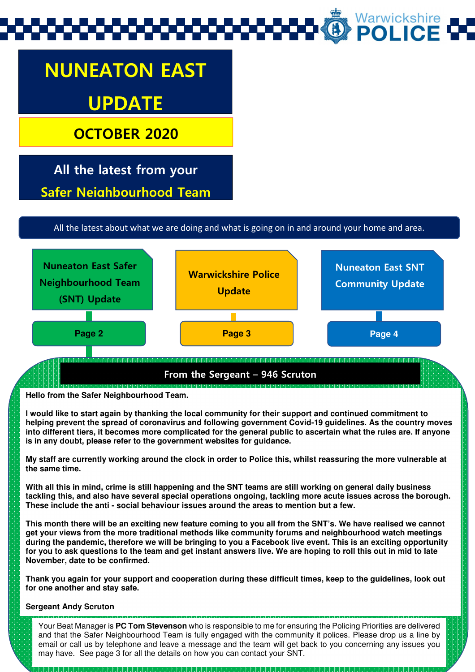# Warwickshire<br>**POLICE**

## NUNEATON EAST UPDATE

OCTOBER 2020

L

Safer Neighbourhood Team All the latest from your

All the latest about what we are doing and what is going on in and around your home and area.



**Hello from the Safer Neighbourhood Team.** 

**I would like to start again by thanking the local community for their support and continued commitment to helping prevent the spread of coronavirus and following government Covid-19 guidelines. As the country moves into different tiers, it becomes more complicated for the general public to ascertain what the rules are. If anyone is in any doubt, please refer to the government websites for guidance.** 

**My staff are currently working around the clock in order to Police this, whilst reassuring the more vulnerable at the same time.** 

**With all this in mind, crime is still happening and the SNT teams are still working on general daily business tackling this, and also have several special operations ongoing, tackling more acute issues across the borough. These include the anti - social behaviour issues around the areas to mention but a few.** 

**This month there will be an exciting new feature coming to you all from the SNT's. We have realised we cannot get your views from the more traditional methods like community forums and neighbourhood watch meetings during the pandemic, therefore we will be bringing to you a Facebook live event. This is an exciting opportunity for you to ask questions to the team and get instant answers live. We are hoping to roll this out in mid to late November, date to be confirmed.** 

**Thank you again for your support and cooperation during these difficult times, keep to the guidelines, look out for one another and stay safe.** 

#### **Sergeant Andy Scruton**

Your Beat Manager is **PC Tom Stevenson** who is responsible to me for ensuring the Policing Priorities are delivered and that the Safer Neighbourhood Team is fully engaged with the community it polices. Please drop us a line by email or call us by telephone and leave a message and the team will get back to you concerning any issues you may have. See page 3 for all the details on how you can contact your SNT.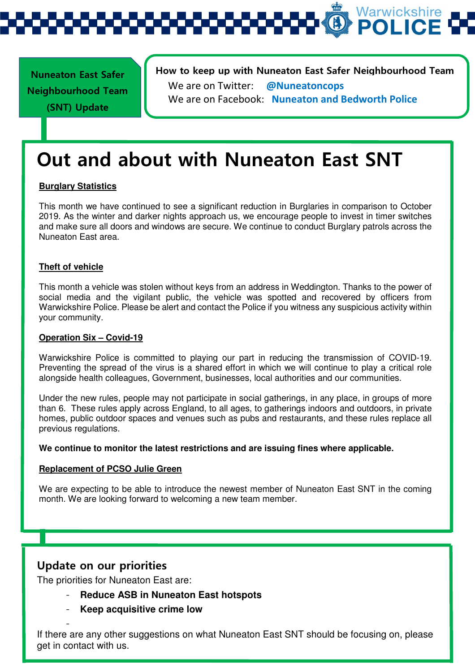Warwickshire **POLIC** 

Nuneaton East Safer Neighbourhood Team (SNT) Update

j

How to keep up with Nuneaton East Safer Neighbourhood Team We are on Twitter: @Nuneatoncops We are on Facebook: Nuneaton and Bedworth Police

### Out and about with Nuneaton East SNT

#### **Burglary Statistics**

This month we have continued to see a significant reduction in Burglaries in comparison to October 2019. As the winter and darker nights approach us, we encourage people to invest in timer switches and make sure all doors and windows are secure. We continue to conduct Burglary patrols across the Nuneaton East area.

#### **Theft of vehicle**

This month a vehicle was stolen without keys from an address in Weddington. Thanks to the power of social media and the vigilant public, the vehicle was spotted and recovered by officers from Warwickshire Police. Please be alert and contact the Police if you witness any suspicious activity within your community.

#### **Operation Six – Covid-19**

Warwickshire Police is committed to playing our part in reducing the transmission of COVID-19. Preventing the spread of the virus is a shared effort in which we will continue to play a critical role alongside health colleagues, Government, businesses, local authorities and our communities.

Under the new rules, people may not participate in social gatherings, in any place, in groups of more than 6. These rules apply across England, to all ages, to gatherings indoors and outdoors, in private homes, public outdoor spaces and venues such as pubs and restaurants, and these rules replace all previous regulations.

#### **We continue to monitor the latest restrictions and are issuing fines where applicable.**

#### **Replacement of PCSO Julie Green**

We are expecting to be able to introduce the newest member of Nuneaton East SNT in the coming month. We are looking forward to welcoming a new team member.

#### Update on our priorities

-

The priorities for Nuneaton East are:

- **Reduce ASB in Nuneaton East hotspots**
- **Keep acquisitive crime low**

If there are any other suggestions on what Nuneaton East SNT should be focusing on, please get in contact with us.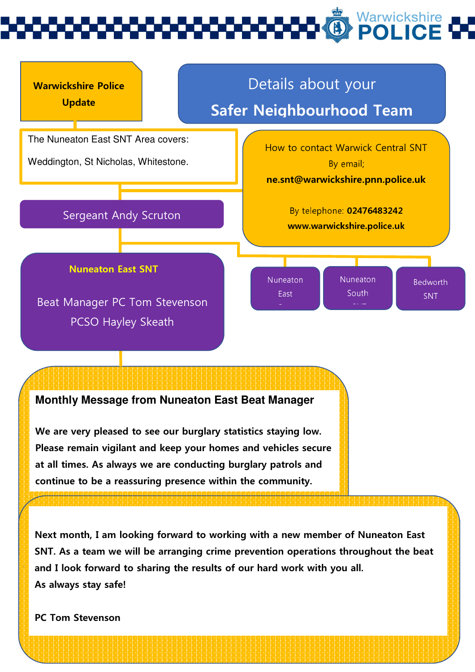

#### **Monthly Message from Nuneaton East Beat Manager**

We are very pleased to see our burglary statistics staying low. Please remain vigilant and keep your homes and vehicles secure at all times. As always we are conducting burglary patrols and continue to be a reassuring presence within the community.

Next month, I am looking forward to working with a new member of Nuneaton East SNT. As a team we will be arranging crime prevention operations throughout the beat and I look forward to sharing the results of our hard work with you all. As always stay safe!

PC Tom Stevenson